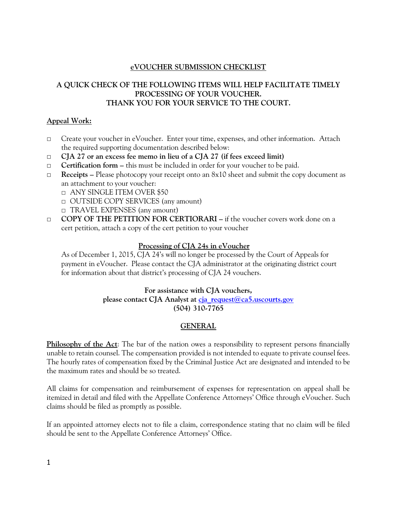# **eVOUCHER SUBMISSION CHECKLIST**

# **A QUICK CHECK OF THE FOLLOWING ITEMS WILL HELP FACILITATE TIMELY PROCESSING OF YOUR VOUCHER. THANK YOU FOR YOUR SERVICE TO THE COURT.**

# **Appeal Work:**

- □ Create your voucher in eVoucher. Enter your time, expenses, and other information. Attach the required supporting documentation described below:
- □ **CJA 27 or an excess fee memo in lieu of a CJA 27 (if fees exceed limit)**
- □ **Certification form –** this must be included in order for your voucher to be paid.
- □ **Receipts –** Please photocopy your receipt onto an 8x10 sheet and submit the copy document as an attachment to your voucher:
	- □ ANY SINGLE ITEM OVER \$50
	- □ OUTSIDE COPY SERVICES (any amount)
	- □ TRAVEL EXPENSES (any amount)
- □ **COPY OF THE PETITION FOR CERTIORARI –** if the voucher covers work done on a cert petition, attach a copy of the cert petition to your voucher

# **Processing of CJA 24s in eVoucher**

As of December 1, 2015, CJA 24's will no longer be processed by the Court of Appeals for payment in eVoucher. Please contact the CJA administrator at the originating district court for information about that district's processing of CJA 24 vouchers.

# **For assistance with CJA vouchers, please contact CJA Analyst at [cja\\_request@ca5.uscourts.gov](mailto:cja_request@ca5.uscourts.gov) (504) 310-7765**

# **GENERAL**

**Philosophy of the Act:** The bar of the nation owes a responsibility to represent persons financially unable to retain counsel. The compensation provided is not intended to equate to private counsel fees. The hourly rates of compensation fixed by the Criminal Justice Act are designated and intended to be the maximum rates and should be so treated.

All claims for compensation and reimbursement of expenses for representation on appeal shall be itemized in detail and filed with the Appellate Conference Attorneys' Office through eVoucher. Such claims should be filed as promptly as possible.

If an appointed attorney elects not to file a claim, correspondence stating that no claim will be filed should be sent to the Appellate Conference Attorneys' Office.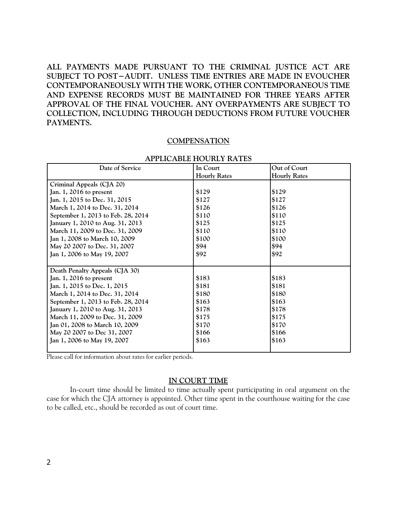**ALL PAYMENTS MADE PURSUANT TO THE CRIMINAL JUSTICE ACT ARE SUBJECT TO POST−AUDIT. UNLESS TIME ENTRIES ARE MADE IN EVOUCHER CONTEMPORANEOUSLY WITH THE WORK, OTHER CONTEMPORANEOUS TIME AND EXPENSE RECORDS MUST BE MAINTAINED FOR THREE YEARS AFTER APPROVAL OF THE FINAL VOUCHER. ANY OVERPAYMENTS ARE SUBJECT TO COLLECTION, INCLUDING THROUGH DEDUCTIONS FROM FUTURE VOUCHER PAYMENTS.**

#### **COMPENSATION**

| Date of Service                    | In Court            | Out of Court        |
|------------------------------------|---------------------|---------------------|
|                                    | <b>Hourly Rates</b> | <b>Hourly Rates</b> |
| Criminal Appeals (CJA 20)          |                     |                     |
| Jan. 1, 2016 to present            | \$129               | \$129               |
| Jan. 1, 2015 to Dec. 31, 2015      | \$127               | \$127               |
| March 1, 2014 to Dec. 31, 2014     | \$126               | \$126               |
| September 1, 2013 to Feb. 28, 2014 | \$110               | \$110               |
| January 1, 2010 to Aug. 31, 2013   | \$125               | \$125               |
| March 11, 2009 to Dec. 31, 2009    | \$110               | \$110               |
| Jan 1, 2008 to March 10, 2009      | \$100               | \$100               |
| May 20 2007 to Dec. 31, 2007       | \$94                | \$94                |
| Jan 1, 2006 to May 19, 2007        | \$92                | \$92                |
|                                    |                     |                     |
| Death Penalty Appeals (CJA 30)     |                     |                     |
| Jan. 1, 2016 to present            | \$183               | \$183               |
| Jan. 1, 2015 to Dec. 1, 2015       | \$181               | \$181               |
| March 1, 2014 to Dec. 31, 2014     | \$180               | \$180               |
| September 1, 2013 to Feb. 28, 2014 | \$163               | \$163               |
| January 1, 2010 to Aug. 31, 2013   | \$178               | \$178               |
| March 11, 2009 to Dec. 31, 2009    | \$175               | \$175               |
| Jan 01, 2008 to March 10, 2009     | \$170               | \$170               |
| May 20 2007 to Dec 31, 2007        | \$166               | \$166               |
| Jan 1, 2006 to May 19, 2007        | \$163               | \$163               |
|                                    |                     |                     |

#### **APPLICABLE HOURLY RATES**

Please call for information about rates for earlier periods.

#### **IN COURT TIME**

In-court time should be limited to time actually spent participating in oral argument on the case for which the CJA attorney is appointed. Other time spent in the courthouse waiting for the case to be called, etc., should be recorded as out of court time.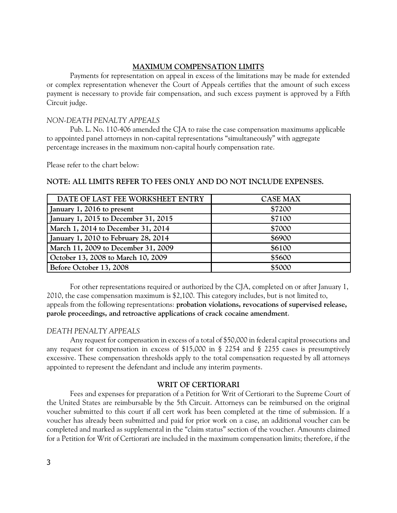# **MAXIMUM COMPENSATION LIMITS**

Payments for representation on appeal in excess of the limitations may be made for extended or complex representation whenever the Court of Appeals certifies that the amount of such excess payment is necessary to provide fair compensation, and such excess payment is approved by a Fifth Circuit judge.

# *NON-DEATH PENALTY APPEALS*

Pub. L. No. 110-406 amended the CJA to raise the case compensation maximums applicable to appointed panel attorneys in non-capital representations "simultaneously" with aggregate percentage increases in the maximum non-capital hourly compensation rate.

Please refer to the chart below:

# **NOTE: ALL LIMITS REFER TO FEES ONLY AND DO NOT INCLUDE EXPENSES.**

| DATE OF LAST FEE WORKSHEET ENTRY     | <b>CASE MAX</b> |
|--------------------------------------|-----------------|
| January 1, 2016 to present           | \$7200          |
| January 1, 2015 to December 31, 2015 | \$7100          |
| March 1, 2014 to December 31, 2014   | \$7000          |
| January 1, 2010 to February 28, 2014 | \$6900          |
| March 11, 2009 to December 31, 2009  | \$6100          |
| October 13, 2008 to March 10, 2009   | \$5600          |
| Before October 13, 2008              | \$5000          |

For other representations required or authorized by the CJA, completed on or after January 1, 2010, the case compensation maximum is \$2,100. This category includes, but is not limited to, appeals from the following representations: **probation violations, revocations of supervised release, parole proceedings, and retroactive applications of crack cocaine amendment**.

# *DEATH PENALTY APPEALS*

Any request for compensation in excess of a total of \$50,000 in federal capital prosecutions and any request for compensation in excess of \$15,000 in § 2254 and § 2255 cases is presumptively excessive. These compensation thresholds apply to the total compensation requested by all attorneys appointed to represent the defendant and include any interim payments.

# **WRIT OF CERTIORARI**

Fees and expenses for preparation of a Petition for Writ of Certiorari to the Supreme Court of the United States are reimbursable by the 5th Circuit. Attorneys can be reimbursed on the original voucher submitted to this court if all cert work has been completed at the time of submission. If a voucher has already been submitted and paid for prior work on a case, an additional voucher can be completed and marked as supplemental in the "claim status" section of the voucher. Amounts claimed for a Petition for Writ of Certiorari are included in the maximum compensation limits; therefore, if the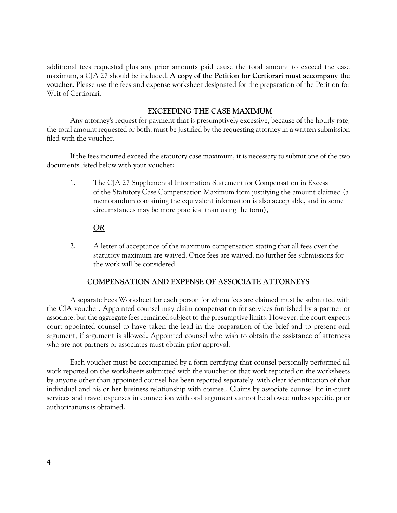additional fees requested plus any prior amounts paid cause the total amount to exceed the case maximum, a CJA 27 should be included. **A copy of the Petition for Certiorari must accompany the voucher.** Please use the fees and expense worksheet designated for the preparation of the Petition for Writ of Certiorari.

# **EXCEEDING THE CASE MAXIMUM**

Any attorney's request for payment that is presumptively excessive, because of the hourly rate, the total amount requested or both, must be justified by the requesting attorney in a written submission filed with the voucher.

If the fees incurred exceed the statutory case maximum, it is necessary to submit one of the two documents listed below with your voucher:

1. The CJA 27 Supplemental Information Statement for Compensation in Excess of the Statutory Case Compensation Maximum form justifying the amount claimed (a memorandum containing the equivalent information is also acceptable, and in some circumstances may be more practical than using the form),

# *OR*

2. A letter of acceptance of the maximum compensation stating that all fees over the statutory maximum are waived. Once fees are waived, no further fee submissions for the work will be considered.

# **COMPENSATION AND EXPENSE OF ASSOCIATE ATTORNEYS**

A separate Fees Worksheet for each person for whom fees are claimed must be submitted with the CJA voucher. Appointed counsel may claim compensation for services furnished by a partner or associate, but the aggregate fees remained subject to the presumptive limits. However, the court expects court appointed counsel to have taken the lead in the preparation of the brief and to present oral argument, if argument is allowed. Appointed counsel who wish to obtain the assistance of attorneys who are not partners or associates must obtain prior approval.

Each voucher must be accompanied by a form certifying that counsel personally performed all work reported on the worksheets submitted with the voucher or that work reported on the worksheets by anyone other than appointed counsel has been reported separately with clear identification of that individual and his or her business relationship with counsel. Claims by associate counsel for in-court services and travel expenses in connection with oral argument cannot be allowed unless specific prior authorizations is obtained.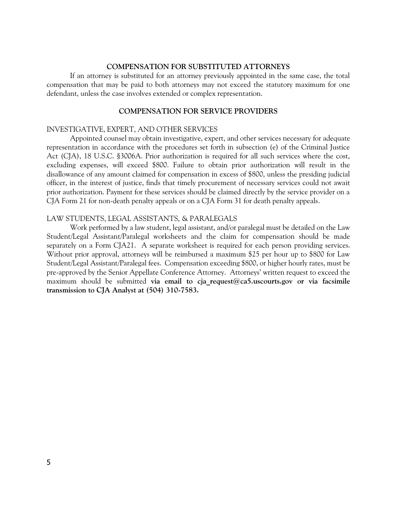#### **COMPENSATION FOR SUBSTITUTED ATTORNEYS**

If an attorney is substituted for an attorney previously appointed in the same case, the total compensation that may be paid to both attorneys may not exceed the statutory maximum for one defendant, unless the case involves extended or complex representation.

# **COMPENSATION FOR SERVICE PROVIDERS**

#### INVESTIGATIVE, EXPERT, AND OTHER SERVICES

Appointed counsel may obtain investigative, expert, and other services necessary for adequate representation in accordance with the procedures set forth in subsection (e) of the Criminal Justice Act (CJA), 18 U.S.C. §3006A. Prior authorization is required for all such services where the cost, excluding expenses, will exceed \$800. Failure to obtain prior authorization will result in the disallowance of any amount claimed for compensation in excess of \$800, unless the presiding judicial officer, in the interest of justice, finds that timely procurement of necessary services could not await prior authorization. Payment for these services should be claimed directly by the service provider on a CJA Form 21 for non-death penalty appeals or on a CJA Form 31 for death penalty appeals.

#### LAW STUDENTS, LEGAL ASSISTANTS, & PARALEGALS

Work performed by a law student, legal assistant, and/or paralegal must be detailed on the Law Student/Legal Assistant/Paralegal worksheets and the claim for compensation should be made separately on a Form CJA21. A separate worksheet is required for each person providing services. Without prior approval, attorneys will be reimbursed a maximum \$25 per hour up to \$800 for Law Student/Legal Assistant/Paralegal fees. Compensation exceeding \$800, or higher hourly rates, must be pre-approved by the Senior Appellate Conference Attorney. Attorneys' written request to exceed the maximum should be submitted **via email to cja\_request@ca5.uscourts.gov or via facsimile transmission to CJA Analyst at (504) 310-7583.**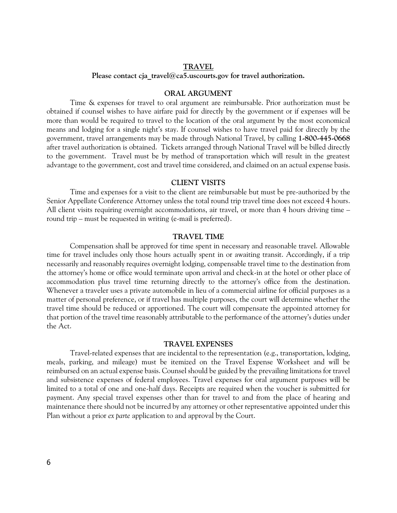#### **TRAVEL**

Please contact cja\_travel@ca5.uscourts.gov for travel authorization.

#### **ORAL ARGUMENT**

Time & expenses for travel to oral argument are reimbursable. Prior authorization must be obtained if counsel wishes to have airfare paid for directly by the government or if expenses will be more than would be required to travel to the location of the oral argument by the most economical means and lodging for a single night's stay. If counsel wishes to have travel paid for directly by the government, travel arrangements may be made through National Travel, by calling **1-800-445-0668** after travel authorization is obtained. Tickets arranged through National Travel will be billed directly to the government. Travel must be by method of transportation which will result in the greatest advantage to the government, cost and travel time considered, and claimed on an actual expense basis.

#### **CLIENT VISITS**

Time and expenses for a visit to the client are reimbursable but must be pre-authorized by the Senior Appellate Conference Attorney unless the total round trip travel time does not exceed 4 hours. All client visits requiring overnight accommodations, air travel, or more than 4 hours driving time – round trip – must be requested in writing (e-mail is preferred).

#### **TRAVEL TIME**

Compensation shall be approved for time spent in necessary and reasonable travel. Allowable time for travel includes only those hours actually spent in or awaiting transit. Accordingly, if a trip necessarily and reasonably requires overnight lodging, compensable travel time to the destination from the attorney's home or office would terminate upon arrival and check-in at the hotel or other place of accommodation plus travel time returning directly to the attorney's office from the destination. Whenever a traveler uses a private automobile in lieu of a commercial airline for official purposes as a matter of personal preference, or if travel has multiple purposes, the court will determine whether the travel time should be reduced or apportioned. The court will compensate the appointed attorney for that portion of the travel time reasonably attributable to the performance of the attorney's duties under the Act.

#### **TRAVEL EXPENSES**

Travel-related expenses that are incidental to the representation (e.g., transportation, lodging, meals, parking, and mileage) must be itemized on the Travel Expense Worksheet and will be reimbursed on an actual expense basis. Counsel should be guided by the prevailing limitations for travel and subsistence expenses of federal employees. Travel expenses for oral argument purposes will be limited to a total of one and one-half days. Receipts are required when the voucher is submitted for payment. Any special travel expenses other than for travel to and from the place of hearing and maintenance there should not be incurred by any attorney or other representative appointed under this Plan without a prior *ex parte* application to and approval by the Court.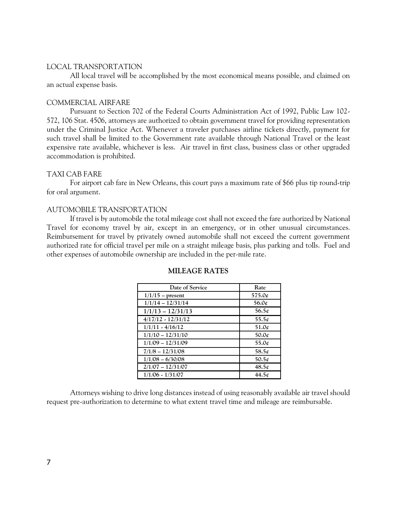#### LOCAL TRANSPORTATION

All local travel will be accomplished by the most economical means possible, and claimed on an actual expense basis.

#### COMMERCIAL AIRFARE

Pursuant to Section 702 of the Federal Courts Administration Act of 1992, Public Law 102- 572, 106 Stat. 4506, attorneys are authorized to obtain government travel for providing representation under the Criminal Justice Act. Whenever a traveler purchases airline tickets directly, payment for such travel shall be limited to the Government rate available through National Travel or the least expensive rate available, whichever is less. Air travel in first class, business class or other upgraded accommodation is prohibited.

#### TAXI CAB FARE

For airport cab fare in New Orleans, this court pays a maximum rate of \$66 plus tip round-trip for oral argument.

#### AUTOMOBILE TRANSPORTATION

If travel is by automobile the total mileage cost shall not exceed the fare authorized by National Travel for economy travel by air, except in an emergency, or in other unusual circumstances. Reimbursement for travel by privately owned automobile shall not exceed the current government authorized rate for official travel per mile on a straight mileage basis, plus parking and tolls. Fuel and other expenses of automobile ownership are included in the per-mile rate.

| Date of Service      | Rate                |
|----------------------|---------------------|
| $1/1/15$ – present   | 575.0¢              |
| $1/1/14 - 12/31/14$  | 56.0 $\mathfrak{c}$ |
| $1/1/13 - 12/31/13$  | $56.5\ell$          |
| $4/17/12 - 12/31/12$ | $55.5\ell$          |
| $1/1/11 - 4/16/12$   | 51.0 <sub>t</sub>   |
| $1/1/10 - 12/31/10$  | $50.0\ell$          |
| $1/1/09 - 12/31/09$  | 55.0 $\ell$         |
| $7/1/8 - 12/31/08$   | 58.5 $\phi$         |
| $1/1/08 - 6/30/08$   | 50.5 $\phi$         |
| $2/1/07 - 12/31/07$  | $48.5\phi$          |
| $1/1/06 - 1/31/07$   | 44.5 <sub>t</sub>   |

## **MILEAGE RATES**

Attorneys wishing to drive long distances instead of using reasonably available air travel should request pre-authorization to determine to what extent travel time and mileage are reimbursable.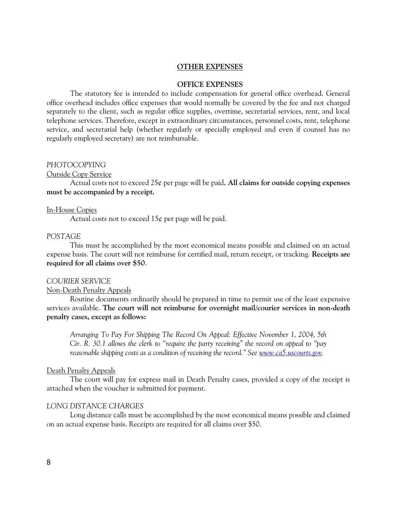### **OTHER EXPENSES**

#### **OFFICE EXPENSES**

The statutory fee is intended to include compensation for general office overhead. General office overhead includes office expenses that would normally be covered by the fee and not charged separately to the client, such as regular office supplies, overtime, secretarial services, rent, and local telephone services. Therefore, except in extraordinary circumstances, personnel costs, rent, telephone service, and secretarial help (whether regularly or specially employed and even if counsel has no regularly employed secretary) are not reimbursable.

## *PHOTOCOPYING*

Outside Copy Service

Actual costs not to exceed 25¢ per page will be paid**. All claims for outside copying expenses must be accompanied by a receipt.** 

### In-House Copies

Actual costs not to exceed  $15¢$  per page will be paid.

#### *POSTAGE*

This must be accomplished by the most economical means possible and claimed on an actual expense basis. The court will not reimburse for certified mail, return receipt, or tracking. **Receipts are required for all claims over \$50**.

#### *COURIER SERVICE*

### Non-Death Penalty Appeals

Routine documents ordinarily should be prepared in time to permit use of the least expensive services available. **The court will not reimburse for overnight mail/courier services in non-death penalty cases, except as follows:** 

*Arranging To Pay For Shipping The Record On Appeal: Effective November 1, 2004, 5th Cir. R. 30.1 allows the clerk to "require the party receiving" the record on appeal to "pay reasonable shipping costs as a condition of receiving the record." See <u><i>[www.ca5.uscourts.gov.](file://///circ5.dcn/data/ca/docs/CJA%20-%20appellate/FORMS/www.ca5.uscourts.gov)*</u>

#### Death Penalty Appeals

The court will pay for express mail in Death Penalty cases, provided a copy of the receipt is attached when the voucher is submitted for payment.

## *LONG DISTANCE CHARGES*

Long distance calls must be accomplished by the most economical means possible and claimed on an actual expense basis. Receipts are required for all claims over \$50.